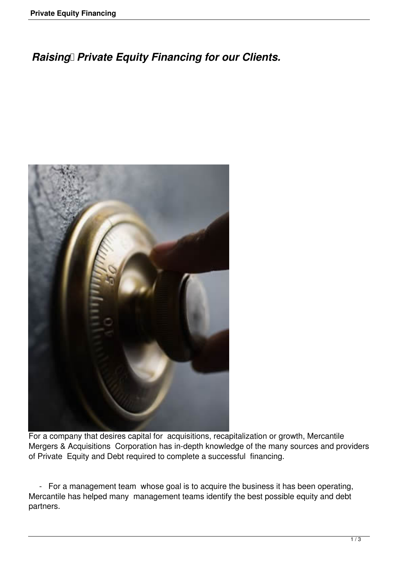## **Raising Private Equity Financing for our Clients.**



For a company that desires capital for acquisitions, recapitalization or growth, Mercantile Mergers & Acquisitions Corporation has in-depth knowledge of the many sources and providers of Private Equity and Debt required to complete a successful financing.

 - For a management team whose goal is to acquire the business it has been operating, Mercantile has helped many management teams identify the best possible equity and debt partners.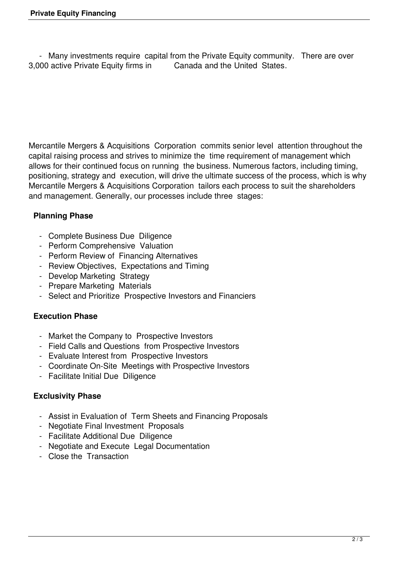- Many investments require capital from the Private Equity community. There are over 1000 active Private Equity firms in Canada and the United States. 3,000 active Private Equity firms in

Mercantile Mergers & Acquisitions Corporation commits senior level attention throughout the capital raising process and strives to minimize the time requirement of management which allows for their continued focus on running the business. Numerous factors, including timing, positioning, strategy and execution, will drive the ultimate success of the process, which is why Mercantile Mergers & Acquisitions Corporation tailors each process to suit the shareholders and management. Generally, our processes include three stages:

## **Planning Phase**

- Complete Business Due Diligence
- Perform Comprehensive Valuation
- Perform Review of Financing Alternatives
- Review Objectives, Expectations and Timing
- Develop Marketing Strategy
- Prepare Marketing Materials
- Select and Prioritize Prospective Investors and Financiers

## **Execution Phase**

- Market the Company to Prospective Investors
- Field Calls and Questions from Prospective Investors
- Evaluate Interest from Prospective Investors
- Coordinate On-Site Meetings with Prospective Investors
- Facilitate Initial Due Diligence

## **Exclusivity Phase**

- Assist in Evaluation of Term Sheets and Financing Proposals
- Negotiate Final Investment Proposals
- Facilitate Additional Due Diligence
- Negotiate and Execute Legal Documentation
- Close the Transaction